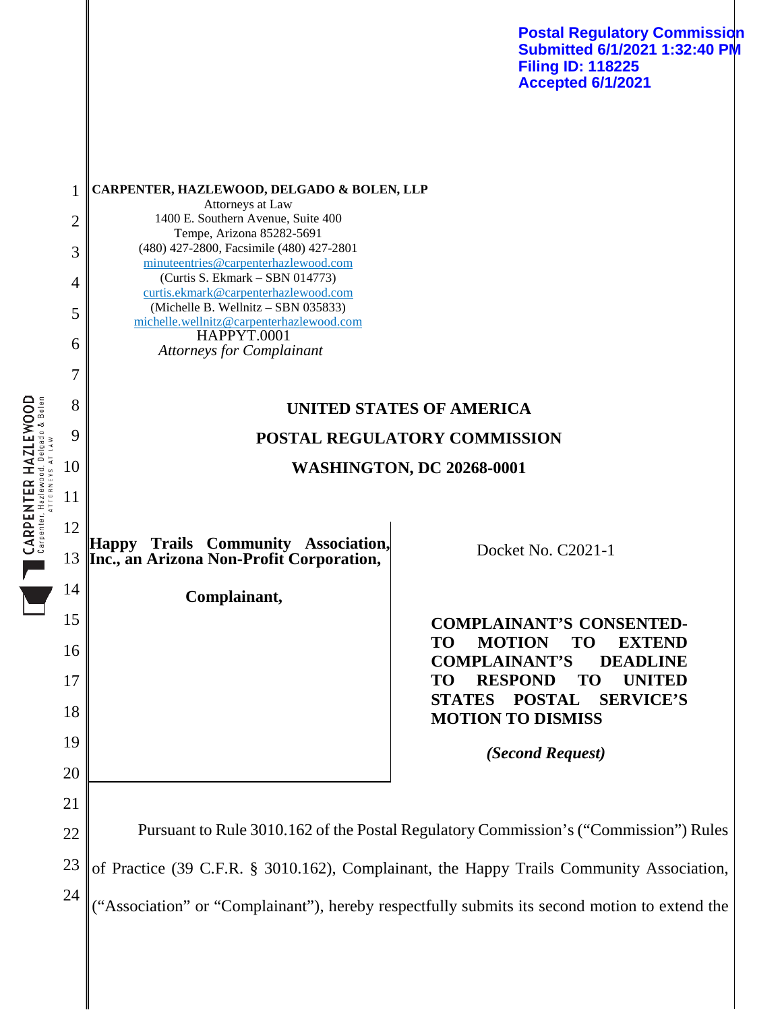**Postal Regulatory Commission Submitted 6/1/2021 1:32:40 PM Filing ID: 118225 Accepted 6/1/2021**

| 1  | CARPENTER, HAZLEWOOD, DELGADO & BOLEN, LLP                                                   |                                                                                                     |
|----|----------------------------------------------------------------------------------------------|-----------------------------------------------------------------------------------------------------|
| 2  | Attorneys at Law<br>1400 E. Southern Avenue, Suite 400                                       |                                                                                                     |
| 3  | Tempe, Arizona 85282-5691<br>(480) 427-2800, Facsimile (480) 427-2801                        |                                                                                                     |
|    | minuteentries@carpenterhazlewood.com<br>(Curtis S. Ekmark – SBN 014773)                      |                                                                                                     |
| 4  | curtis.ekmark@carpenterhazlewood.com<br>(Michelle B. Wellnitz - SBN 035833)                  |                                                                                                     |
| 5  | michelle.wellnitz@carpenterhazlewood.com                                                     |                                                                                                     |
| 6  | <b>HAPPYT.0001</b><br><b>Attorneys for Complainant</b>                                       |                                                                                                     |
| 7  |                                                                                              |                                                                                                     |
| 8  | UNITED STATES OF AMERICA                                                                     |                                                                                                     |
| 9  | POSTAL REGULATORY COMMISSION                                                                 |                                                                                                     |
| 10 | <b>WASHINGTON, DC 20268-0001</b>                                                             |                                                                                                     |
| 11 |                                                                                              |                                                                                                     |
| 12 |                                                                                              |                                                                                                     |
| 13 | Happy Trails Community Association,<br>Inc., an Arizona Non-Profit Corporation,              | Docket No. C2021-1                                                                                  |
| 14 | Complainant,                                                                                 |                                                                                                     |
| 15 |                                                                                              | <b>COMPLAINANT'S CONSENTED-</b>                                                                     |
| 16 |                                                                                              | <b>MOTION</b><br><b>TO</b><br><b>TO</b><br><b>EXTEND</b><br><b>COMPLAINANT'S</b><br><b>DEADLINE</b> |
| 17 |                                                                                              | <b>RESPOND</b><br><b>UNITED</b><br><b>TO</b><br><b>TO</b>                                           |
| 18 |                                                                                              | STATES POSTAL SERVICE'S<br><b>MOTION TO DISMISS</b>                                                 |
| 19 |                                                                                              | (Second Request)                                                                                    |
| 20 |                                                                                              |                                                                                                     |
| 21 |                                                                                              |                                                                                                     |
| 22 | Pursuant to Rule 3010.162 of the Postal Regulatory Commission's ("Commission") Rules         |                                                                                                     |
| 23 | of Practice (39 C.F.R. § 3010.162), Complainant, the Happy Trails Community Association,     |                                                                                                     |
| 24 |                                                                                              |                                                                                                     |
|    | 'Association" or "Complainant"), hereby respectfully submits its second motion to extend the |                                                                                                     |